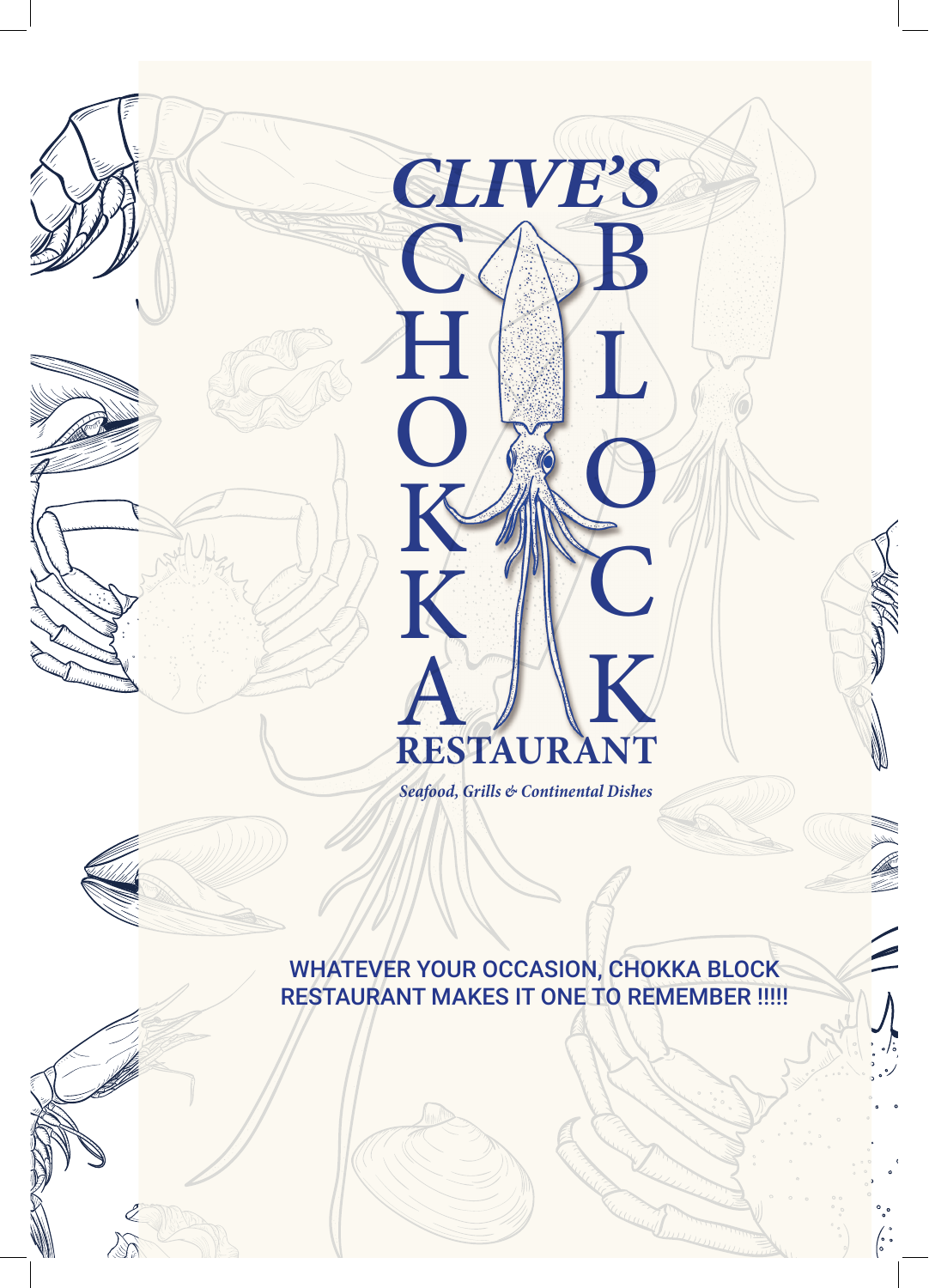

 $\mathscr{L}% _{M_{1},M_{2}}^{(1)}(\theta)=\mathscr{L}_{M_{1},M_{2}}^{(1)}(\theta)$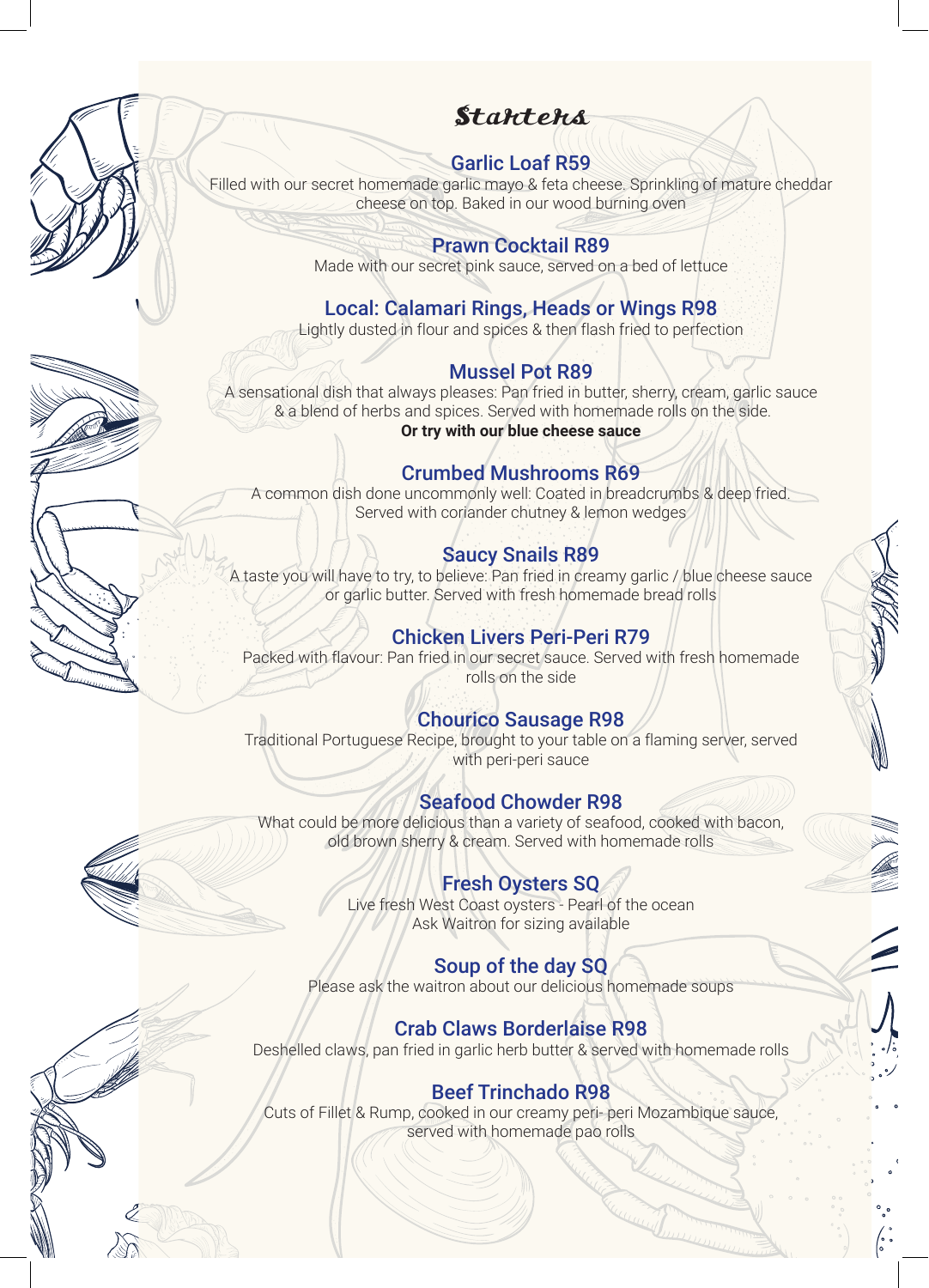## **Stantens**

### Garlic Loaf R59

Filled with our secret homemade garlic mayo & feta cheese. Sprinkling of mature cheddar cheese on top. Baked in our wood burning oven

#### Prawn Cocktail R89

Made with our secret pink sauce, served on a bed of lettuce

## Local: Calamari Rings, Heads or Wings R98

Lightly dusted in flour and spices & then flash fried to perfection

#### Mussel Pot R89

A sensational dish that always pleases: Pan fried in butter, sherry, cream, garlic sauce & a blend of herbs and spices. Served with homemade rolls on the side. **Or try with our blue cheese sauce**

#### Crumbed Mushrooms R69

A common dish done uncommonly well: Coated in breadcrumbs & deep fried. Served with coriander chutney & lemon wedges

## Saucy Snails R89

A taste you will have to try, to believe: Pan fried in creamy garlic / blue cheese sauce or garlic butter. Served with fresh homemade bread rolls

## Chicken Livers Peri-Peri R79

Packed with flavour: Pan fried in our secret sauce. Served with fresh homemade rolls on the side

#### Chourico Sausage R98

Traditional Portuguese Recipe, brought to your table on a flaming server, served with peri-peri sauce

## Seafood Chowder R98

What could be more delicious than a variety of seafood, cooked with bacon, old brown sherry & cream. Served with homemade rolls

#### Fresh Oysters SQ

Live fresh West Coast oysters - Pearl of the ocean Ask Waitron for sizing available

#### Soup of the day SQ

Please ask the waitron about our delicious homemade soups

#### Crab Claws Borderlaise R98

Deshelled claws, pan fried in garlic herb butter & served with homemade rolls

## Beef Trinchado R98

Cuts of Fillet & Rump, cooked in our creamy peri- peri Mozambique sauce, served with homemade pao rolls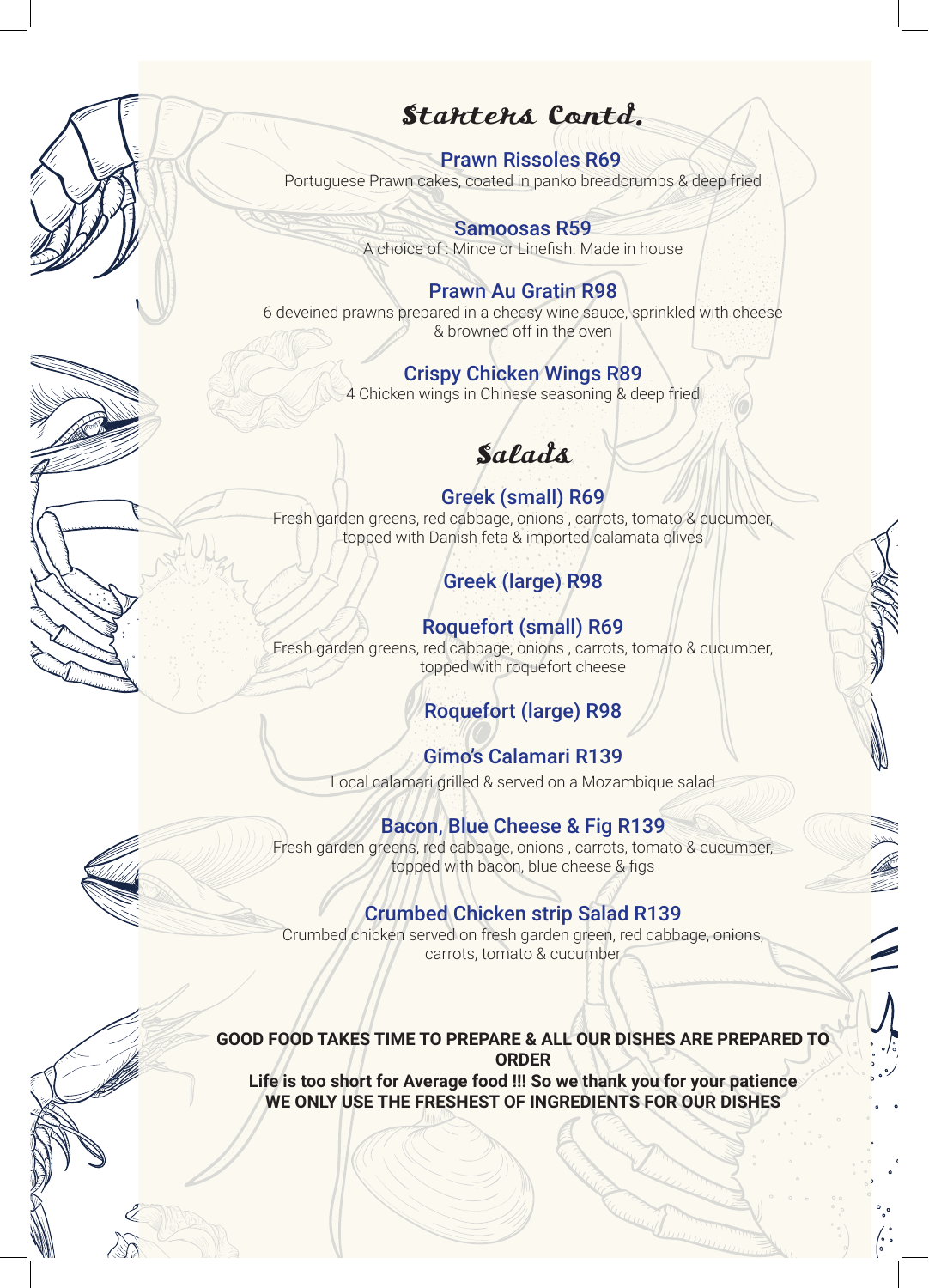## Starters Contd.

#### Prawn Rissoles R69

Portuguese Prawn cakes, coated in panko breadcrumbs & deep fried

Samoosas R59 A choice of : Mince or Linefish. Made in house

#### Prawn Au Gratin R98

6 deveined prawns prepared in a cheesy wine sauce, sprinkled with cheese & browned off in the oven

#### Crispy Chicken Wings R89

4 Chicken wings in Chinese seasoning & deep fried

# Salads

Greek (small) R69 Fresh garden greens, red cabbage, onions , carrots, tomato & cucumber, topped with Danish feta & imported calamata olives

## Greek (large) R98

Roquefort (small) R69 Fresh garden greens, red cabbage, onions , carrots, tomato & cucumber, topped with roquefort cheese

## Roquefort (large) R98

Gimo's Calamari R139 Local calamari grilled & served on a Mozambique salad

## Bacon, Blue Cheese & Fig R139

Fresh garden greens, red cabbage, onions , carrots, tomato & cucumber, topped with bacon, blue cheese & figs

#### Crumbed Chicken strip Salad R139

Crumbed chicken served on fresh garden green, red cabbage, onions, carrots, tomato & cucumber

#### **GOOD FOOD TAKES TIME TO PREPARE & ALL OUR DISHES ARE PREPARED TO ORDER Life is too short for Average food !!! So we thank you for your patience**

**WE ONLY USE THE FRESHEST OF INGREDIENTS FOR OUR DISHES**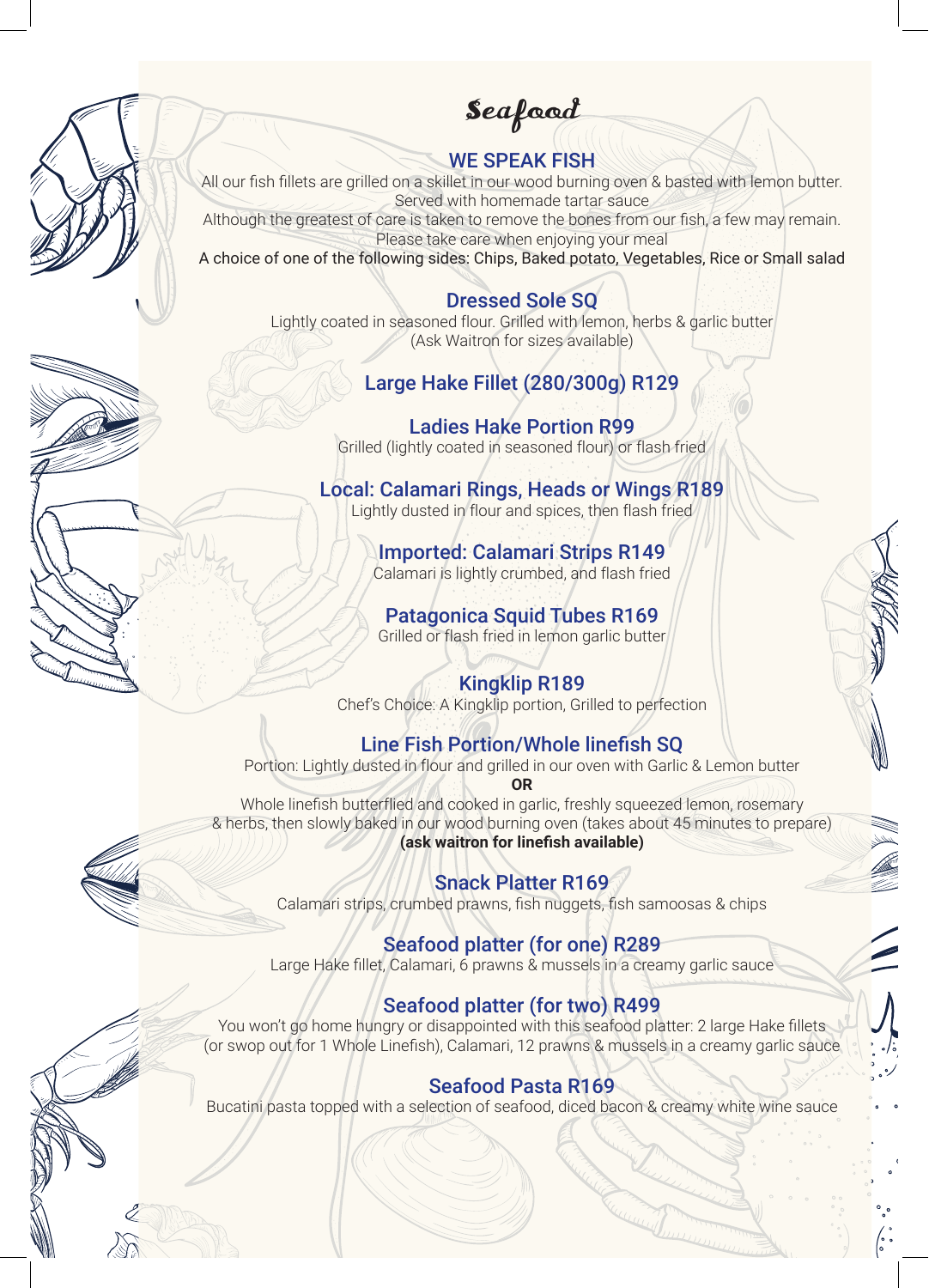Seafood

#### WE SPEAK FISH

All our fish fillets are grilled on a skillet in our wood burning oven & basted with lemon butter. Served with homemade tartar sauce

Although the greatest of care is taken to remove the bones from our fish, a few may remain. Please take care when enjoying your meal

A choice of one of the following sides: Chips, Baked potato, Vegetables, Rice or Small salad

#### Dressed Sole SQ

Lightly coated in seasoned flour. Grilled with lemon, herbs & garlic butter (Ask Waitron for sizes available)

## Large Hake Fillet (280/300g) R129

Ladies Hake Portion R99 Grilled (lightly coated in seasoned flour) or flash fried

Local: Calamari Rings, Heads or Wings R189 Lightly dusted in flour and spices, then flash fried

> Imported: Calamari Strips R149 Calamari is lightly crumbed, and flash fried

Patagonica Squid Tubes R169 Grilled or flash fried in lemon garlic butter

#### Kingklip R189

Chef's Choice: A Kingklip portion, Grilled to perfection

#### Line Fish Portion/Whole linefish SQ

Portion: Lightly dusted in flour and grilled in our oven with Garlic & Lemon butter

**OR** Whole linefish butterflied and cooked in garlic, freshly squeezed lemon, rosemary & herbs, then slowly baked in our wood burning oven (takes about 45 minutes to prepare) **(ask waitron for linefish available)**

#### Snack Platter R169

Calamari strips, crumbed prawns, fish nuggets, fish samoosas & chips

#### Seafood platter (for one) R289

Large Hake fillet, Calamari, 6 prawns & mussels in a creamy garlic sauce

#### Seafood platter (for two) R499

You won't go home hungry or disappointed with this seafood platter: 2 large Hake fillets (or swop out for 1 Whole Linefish), Calamari, 12 prawns & mussels in a creamy garlic sauce

#### Seafood Pasta R169

Bucatini pasta topped with a selection of seafood, diced bacon & creamy white wine sauce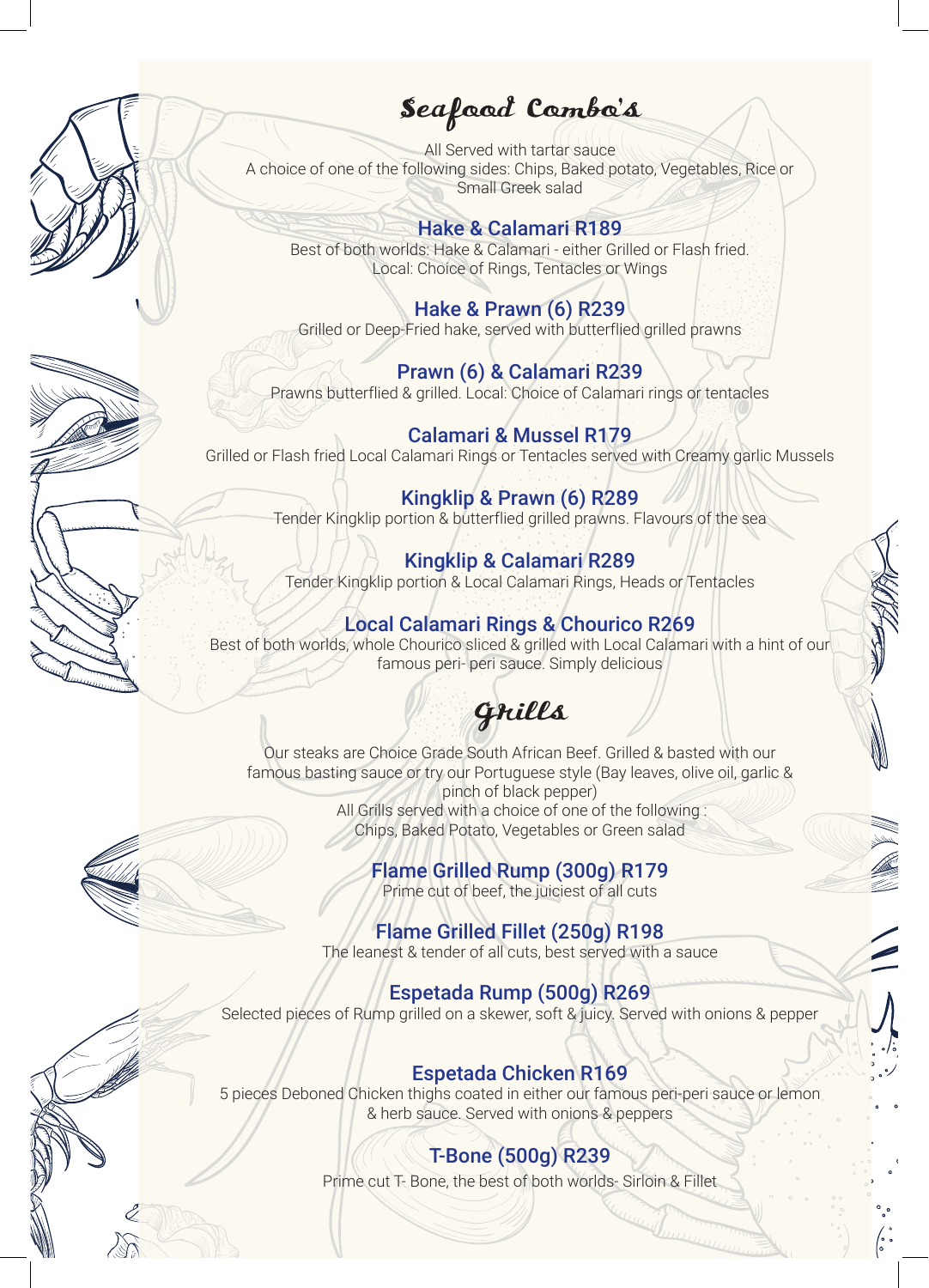## Seafood Combo's

All Served with tartar sauce A choice of one of the following sides: Chips, Baked potato, Vegetables, Rice or Small Greek salad

#### Hake & Calamari R189

Best of both worlds: Hake & Calamari - either Grilled or Flash fried. Local: Choice of Rings, Tentacles or Wings

#### Hake & Prawn (6) R239

Grilled or Deep-Fried hake, served with butterflied grilled prawns

### Prawn (6) & Calamari R239

Prawns butterflied & grilled. Local: Choice of Calamari rings or tentacles

#### Calamari & Mussel R179 Grilled or Flash fried Local Calamari Rings or Tentacles served with Creamy garlic Mussels

### Kingklip & Prawn (6) R289

Tender Kingklip portion & butterflied grilled prawns. Flavours of the sea

#### Kingklip & Calamari R289

Tender Kingklip portion & Local Calamari Rings, Heads or Tentacles

#### Local Calamari Rings & Chourico R269

Best of both worlds, whole Chourico sliced & grilled with Local Calamari with a hint of our famous peri- peri sauce. Simply delicious

# Grills

Our steaks are Choice Grade South African Beef. Grilled & basted with our famous basting sauce or try our Portuguese style (Bay leaves, olive oil, garlic & pinch of black pepper) All Grills served with a choice of one of the following : Chips, Baked Potato, Vegetables or Green salad

#### Flame Grilled Rump (300g) R179

Prime cut of beef, the juiciest of all cuts

#### Flame Grilled Fillet (250g) R198

The leanest & tender of all cuts, best served with a sauce

#### Espetada Rump (500g) R269

Selected pieces of Rump grilled on a skewer, soft & juicy. Served with onions & pepper

#### Espetada Chicken R169

5 pieces Deboned Chicken thighs coated in either our famous peri-peri sauce or lemon & herb sauce. Served with onions & peppers

## T-Bone (500g) R239

Prime cut T- Bone, the best of both worlds- Sirloin & Fillet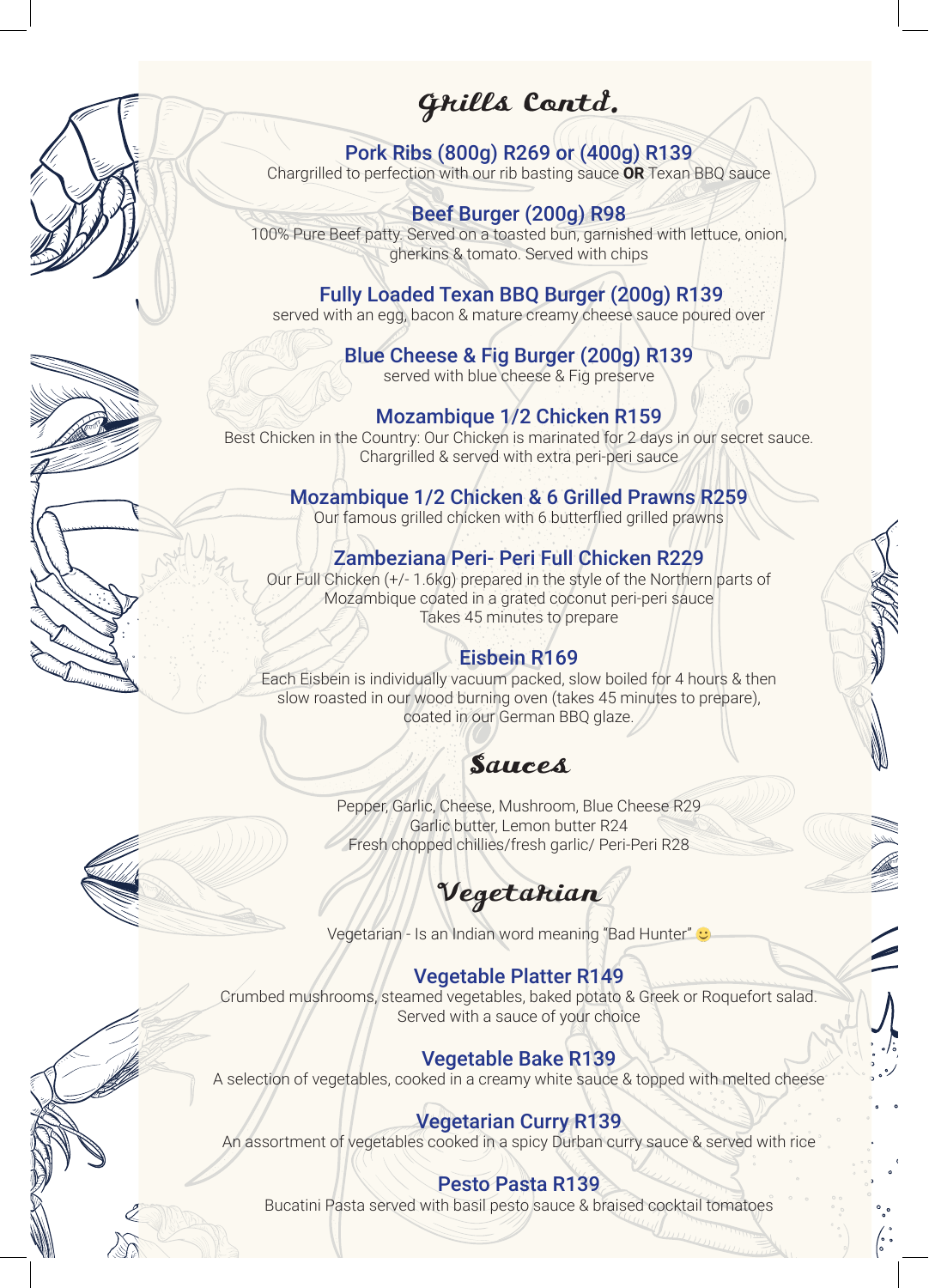## Grills Contd.

Pork Ribs (800g) R269 or (400g) R139 Chargrilled to perfection with our rib basting sauce **OR** Texan BBQ sauce

Beef Burger (200g) R98

100% Pure Beef patty. Served on a toasted bun, garnished with lettuce, onion, gherkins & tomato. Served with chips

 Fully Loaded Texan BBQ Burger (200g) R139 served with an egg, bacon & mature creamy cheese sauce poured over

> Blue Cheese & Fig Burger (200g) R139 served with blue cheese & Fig preserve

Mozambique 1/2 Chicken R159 Best Chicken in the Country: Our Chicken is marinated for 2 days in our secret sauce. Chargrilled & served with extra peri-peri sauce

Mozambique 1/2 Chicken & 6 Grilled Prawns R259

Our famous grilled chicken with 6 butterflied grilled prawns

Zambeziana Peri- Peri Full Chicken R229

Our Full Chicken (+/- 1.6kg) prepared in the style of the Northern parts of Mozambique coated in a grated coconut peri-peri sauce Takes 45 minutes to prepare

## Eisbein R169

Each Eisbein is individually vacuum packed, slow boiled for 4 hours & then slow roasted in our wood burning oven (takes 45 minutes to prepare), coated in our German BBQ glaze.

## Sauces

Pepper, Garlic, Cheese, Mushroom, Blue Cheese R29 Garlic butter, Lemon butter R24 Fresh chopped chillies/fresh garlic/ Peri-Peri R28

Vegetarian

Vegetarian - Is an Indian word meaning "Bad Hunter" c

#### Vegetable Platter R149

Crumbed mushrooms, steamed vegetables, baked potato & Greek or Roquefort salad. Served with a sauce of your choice

#### Vegetable Bake R139

A selection of vegetables, cooked in a creamy white sauce & topped with melted cheese

## Vegetarian Curry R139

An assortment of vegetables cooked in a spicy Durban curry sauce & served with rice

#### Pesto Pasta R139

Bucatini Pasta served with basil pesto sauce & braised cocktail tomatoes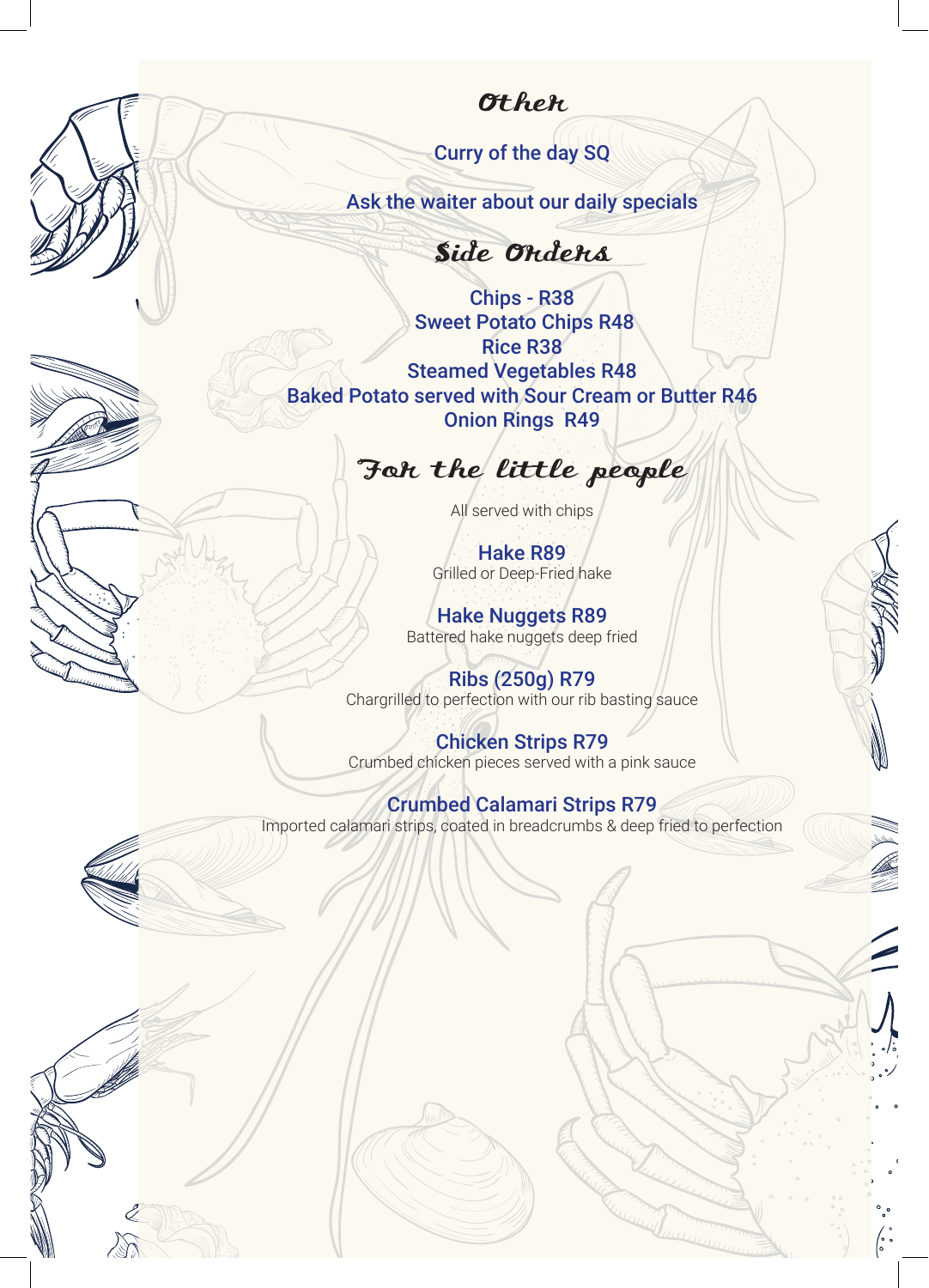## **Other**

Curry of the day SQ

Ask the waiter about our daily specials

Side Orders

Chips - R38 Sweet Potato Chips R48 Rice R38 Steamed Vegetables R48 Baked Potato served with Sour Cream or Butter R46 Onion Rings R49

# For the little people

All served with chips

Hake R89 Grilled or Deep-Fried hake

Hake Nuggets R89 Battered hake nuggets deep fried

Ribs (250g) R79 Chargrilled to perfection with our rib basting sauce

Chicken Strips R79 Crumbed chicken pieces served with a pink sauce

#### Crumbed Calamari Strips R79

Imported calamari strips, coated in breadcrumbs & deep fried to perfection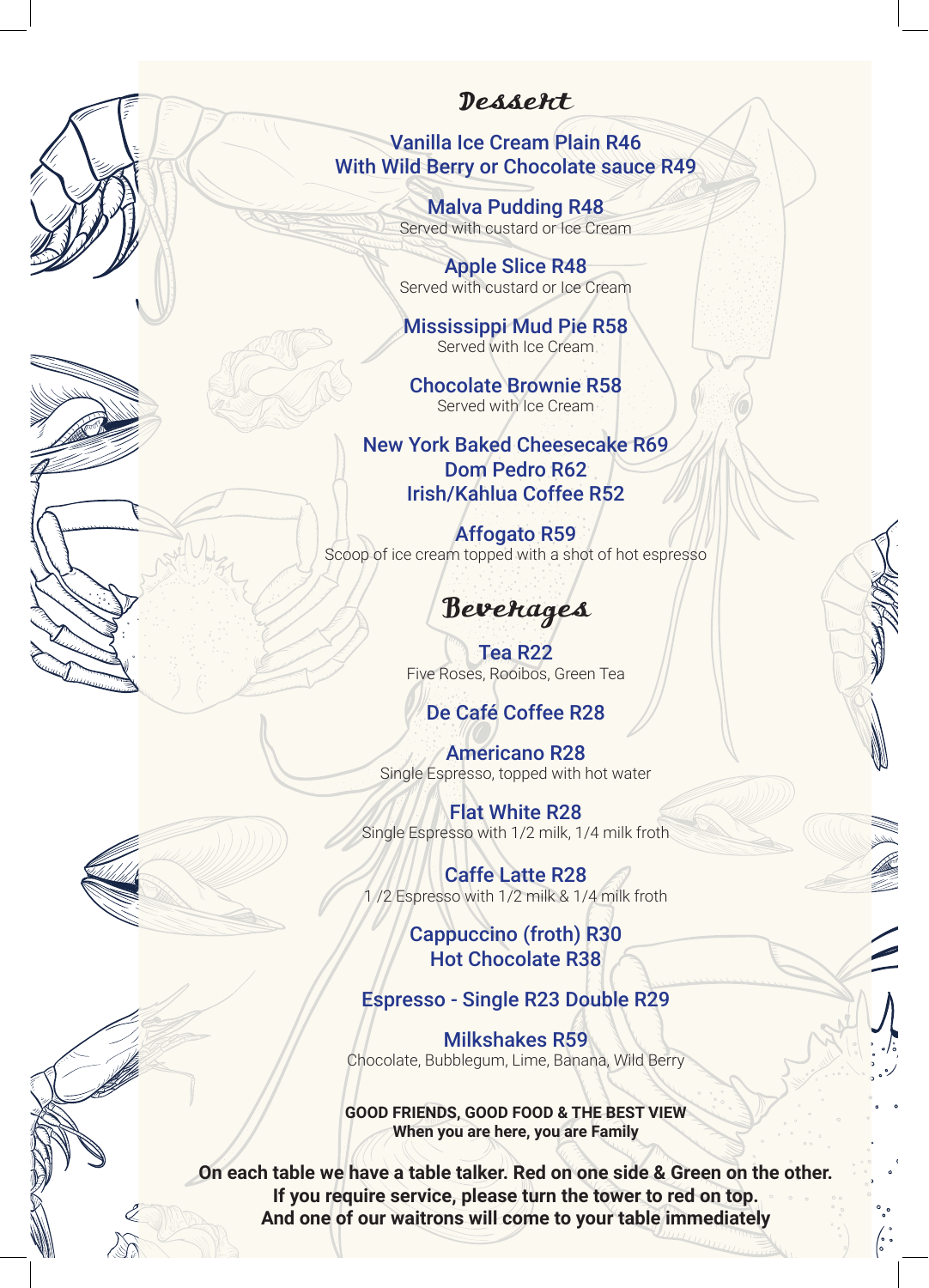## Dessert

Vanilla Ice Cream Plain R46 With Wild Berry or Chocolate sauce R49

> Malva Pudding R48 Served with custard or Ice Cream

Apple Slice R48 Served with custard or Ice Cream

Mississippi Mud Pie R58 Served with Ice Cream

Chocolate Brownie R58 Served with Ice Cream

New York Baked Cheesecake R69 Dom Pedro R62 Irish/Kahlua Coffee R52

Affogato R59 Scoop of ice cream topped with a shot of hot espresso

## Beverages

Tea R22 Five Roses, Rooibos, Green Tea

## De Café Coffee R28

Americano R28 Single Espresso, topped with hot water

Flat White R28 Single Espresso with 1/2 milk, 1/4 milk froth

Caffe Latte R28 1 /2 Espresso with 1/2 milk & 1/4 milk froth

> Cappuccino (froth) R30 Hot Chocolate R38

#### Espresso - Single R23 Double R29

Milkshakes R59 Chocolate, Bubblegum, Lime, Banana, Wild Berry

**GOOD FRIENDS, GOOD FOOD & THE BEST VIEW When you are here, you are Family**

**On each table we have a table talker. Red on one side & Green on the other. If you require service, please turn the tower to red on top. And one of our waitrons will come to your table immediately**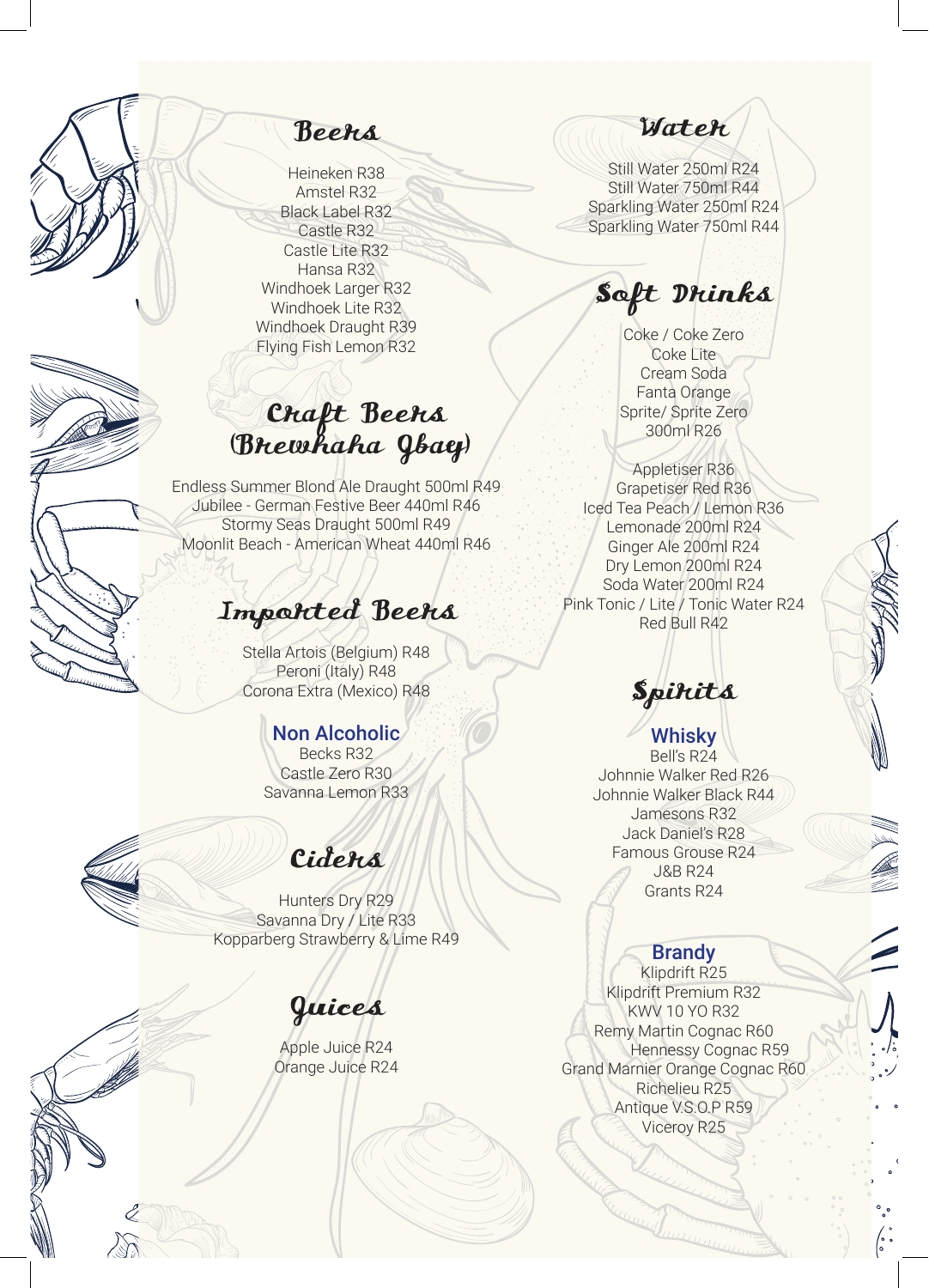Beers

Heineken R38 Amstel R32 Black Label R32 Castle R32 Castle Lite R32 Hansa R32 Windhoek Larger R32 Windhoek Lite R32 Windhoek Draught R39 Flying Fish Lemon R32

## Craft Beers (Brewhaha Jbay)

Endless Summer Blond Ale Draught 500ml R49 Jubilee - German Festive Beer 440ml R46 Stormy Seas Draught 500ml R49 Moonlit Beach - American Wheat 440ml R46

## Imported Beers

Stella Artois (Belgium) R48 Peroni (Italy) R48 Corona Extra (Mexico) R48

## Non Alcoholic

Becks R32 Castle Zero R30 Savanna Lemon R33

# Ciders

Hunters Dry R29 Savanna Dry / Lite R33 Kopparberg Strawberry & Lime R49

## Juices

Apple Juice R24 Orange Juice R24

*Water* 

Still Water 250ml R24 Still Water 750ml R44 Sparkling Water 250ml R24 Sparkling Water 750ml R44

Soft Drinks

Coke / Coke Zero Coke Lite Cream Soda Fanta Orange Sprite/ Sprite Zero 300ml R26

Appletiser R36 Grapetiser Red R36 Iced Tea Peach / Lemon R36 Lemonade 200ml R24 Ginger Ale 200ml R24 Dry Lemon 200ml R24 Soda Water 200ml R24 Pink Tonic / Lite / Tonic Water R24 Red Bull R42

# **Spirits**

Whisky Bell's R24 Johnnie Walker Red R26 Johnnie Walker Black R44 Jamesons R32 Jack Daniel's R28 Famous Grouse R24 J&B R24 Grants R24

#### **Brandy**

Klipdrift R25 Klipdrift Premium R32 KWV 10 YO R32 Remy Martin Cognac R60 Hennessy Cognac R59 Grand Marnier Orange Cognac R60 Richelieu R25 Antique V.S.O.P R59 Viceroy R25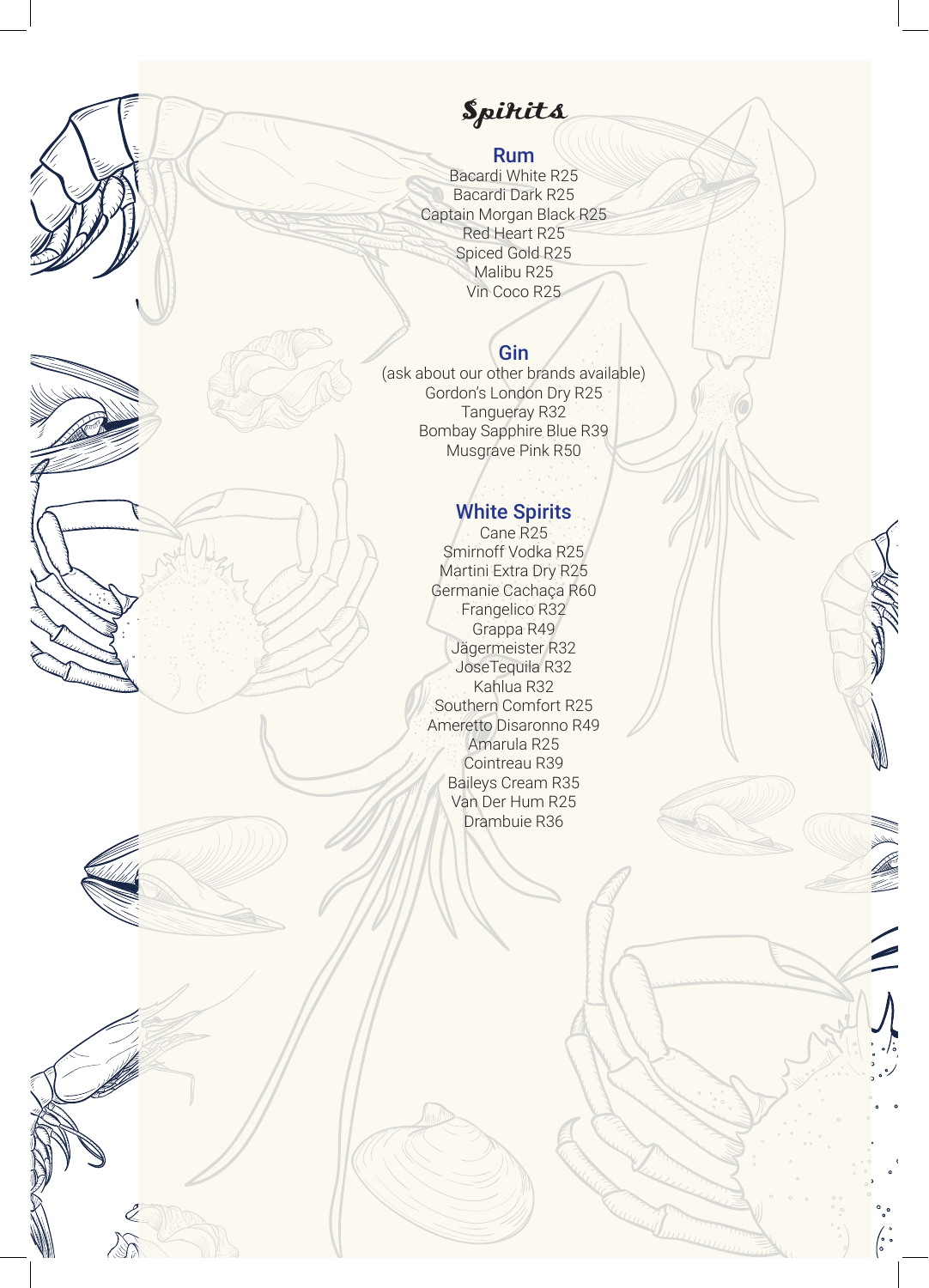# **Spirits**

## Rum

Bacardi White R25 Bacardi Dark R25 Captain Morgan Black R25 Red Heart R25 Spiced Gold R25 Malibu R25 Vin Coco R25

#### Gin

(ask about our other brands available) Gordon's London Dry R25 Tangueray R32 Bombay Sapphire Blue R39 Musgrave Pink R50

## White Spirits

Cane R25 Smirnoff Vodka R25 Martini Extra Dry R25 Germanie Cachaça R60 Frangelico R32 Grappa R49 Jägermeister R32 JoseTequila R32 Kahlua R32 Southern Comfort R25 Ameretto Disaronno R49 Amarula R25 Cointreau R39 Baileys Cream R35 Van Der Hum R25 Drambuie R36

Ž

 $\sqrt{2}$